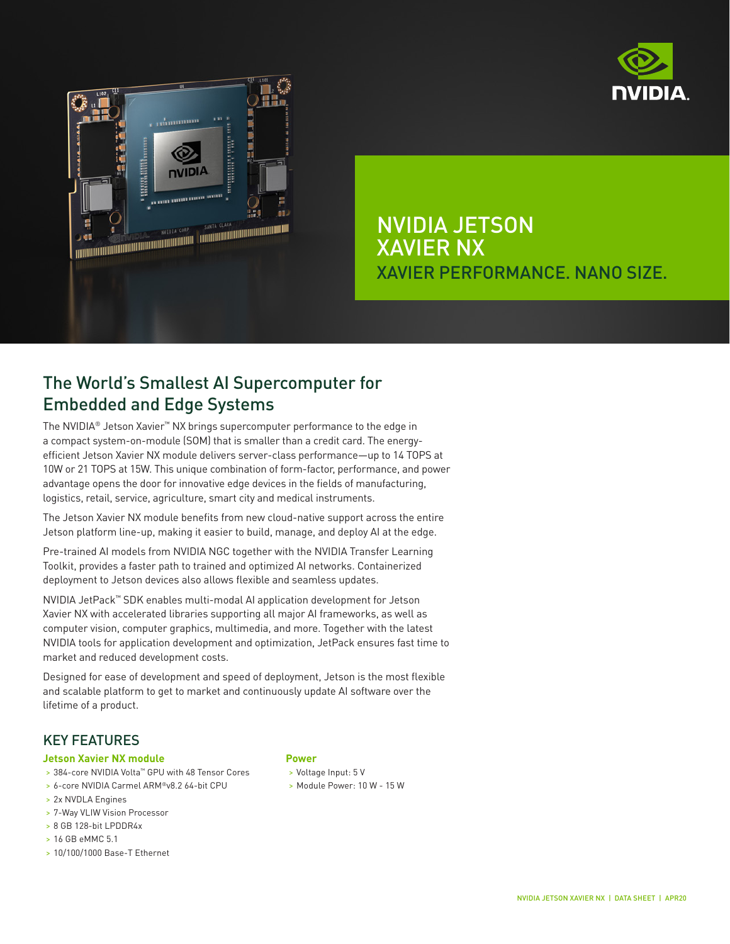



NVIDIA JETSON XAVIER NX XAVIER PERFORMANCE. NANO SIZE.

# The World's Smallest AI Supercomputer for Embedded and Edge Systems

The NVIDIA® Jetson Xavier™ NX brings supercomputer performance to the edge in a compact system-on-module (SOM) that is smaller than a credit card. The energyefficient Jetson Xavier NX module delivers server-class performance—up to 14 TOPS at 10W or 21 TOPS at 15W. This unique combination of form-factor, performance, and power advantage opens the door for innovative edge devices in the fields of manufacturing, logistics, retail, service, agriculture, smart city and medical instruments.

The Jetson Xavier NX module benefits from new cloud-native support across the entire Jetson platform line-up, making it easier to build, manage, and deploy AI at the edge.

Pre-trained AI models from NVIDIA NGC together with the NVIDIA Transfer Learning Toolkit, provides a faster path to trained and optimized AI networks. Containerized deployment to Jetson devices also allows flexible and seamless updates.

NVIDIA JetPack™ SDK enables multi-modal AI application development for Jetson Xavier NX with accelerated libraries supporting all major AI frameworks, as well as computer vision, computer graphics, multimedia, and more. Together with the latest NVIDIA tools for application development and optimization, JetPack ensures fast time to market and reduced development costs.

Designed for ease of development and speed of deployment, Jetson is the most flexible and scalable platform to get to market and continuously update AI software over the lifetime of a product.

### KEY FEATURES

#### **Jetson Xavier NX module**

- > 384-core NVIDIA Volta™ GPU with 48 Tensor Cores
- > 6-core NVIDIA Carmel ARM®v8.2 64-bit CPU
- > 2x NVDLA Engines
- > 7-Way VLIW Vision Processor
- > 8 GB 128-bit LPDDR4x
- > 16 GB eMMC 5.1
- > 10/100/1000 Base-T Ethernet

#### **Power**

- > Voltage Input: 5 V
- > Module Power: 10 W 15 W